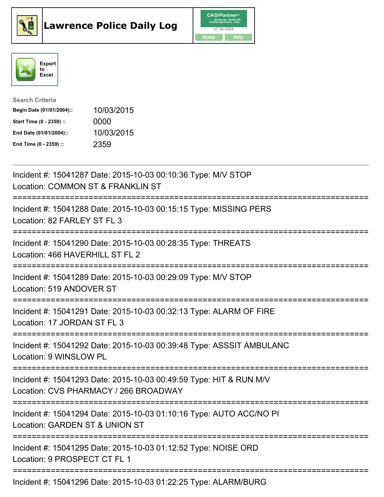





| <b>Search Criteria</b>    |            |
|---------------------------|------------|
| Begin Date (01/01/2004):: | 10/03/2015 |
| Start Time (0 - 2359) ::  | 0000       |
| End Date (01/01/2004)::   | 10/03/2015 |
| End Time (0 - 2359) ::    | 2359       |

| Incident #: 15041287 Date: 2015-10-03 00:10:36 Type: M/V STOP<br>Location: COMMON ST & FRANKLIN ST                                                |
|---------------------------------------------------------------------------------------------------------------------------------------------------|
| Incident #: 15041288 Date: 2015-10-03 00:15:15 Type: MISSING PERS<br>Location: 82 FARLEY ST FL 3                                                  |
| Incident #: 15041290 Date: 2015-10-03 00:28:35 Type: THREATS<br>Location: 466 HAVERHILL ST FL 2                                                   |
| Incident #: 15041289 Date: 2015-10-03 00:29:09 Type: M/V STOP<br>Location: 519 ANDOVER ST                                                         |
| Incident #: 15041291 Date: 2015-10-03 00:32:13 Type: ALARM OF FIRE<br>Location: 17 JORDAN ST FL 3                                                 |
| Incident #: 15041292 Date: 2015-10-03 00:39:48 Type: ASSSIT AMBULANC<br>Location: 9 WINSLOW PL                                                    |
| Incident #: 15041293 Date: 2015-10-03 00:49:59 Type: HIT & RUN M/V<br>Location: CVS PHARMACY / 266 BROADWAY<br>================================== |
| Incident #: 15041294 Date: 2015-10-03 01:10:16 Type: AUTO ACC/NO PI<br>Location: GARDEN ST & UNION ST                                             |
| :=========================<br>Incident #: 15041295 Date: 2015-10-03 01:12:52 Type: NOISE ORD<br>Location: 9 PROSPECT CT FL 1                      |
| Incident #: 15041296 Date: 2015-10-03 01:22:25 Type: ALARM/BURG                                                                                   |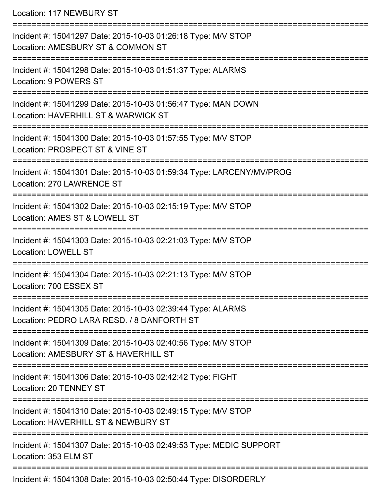Location: 117 NEWBURY ST

| Incident #: 15041297 Date: 2015-10-03 01:26:18 Type: M/V STOP<br>Location: AMESBURY ST & COMMON ST        |
|-----------------------------------------------------------------------------------------------------------|
| Incident #: 15041298 Date: 2015-10-03 01:51:37 Type: ALARMS<br>Location: 9 POWERS ST                      |
| Incident #: 15041299 Date: 2015-10-03 01:56:47 Type: MAN DOWN<br>Location: HAVERHILL ST & WARWICK ST      |
| Incident #: 15041300 Date: 2015-10-03 01:57:55 Type: M/V STOP<br>Location: PROSPECT ST & VINE ST          |
| Incident #: 15041301 Date: 2015-10-03 01:59:34 Type: LARCENY/MV/PROG<br>Location: 270 LAWRENCE ST         |
| Incident #: 15041302 Date: 2015-10-03 02:15:19 Type: M/V STOP<br>Location: AMES ST & LOWELL ST            |
| Incident #: 15041303 Date: 2015-10-03 02:21:03 Type: M/V STOP<br><b>Location: LOWELL ST</b>               |
| Incident #: 15041304 Date: 2015-10-03 02:21:13 Type: M/V STOP<br>Location: 700 ESSEX ST                   |
| Incident #: 15041305 Date: 2015-10-03 02:39:44 Type: ALARMS<br>Location: PEDRO LARA RESD. / 8 DANFORTH ST |
| Incident #: 15041309 Date: 2015-10-03 02:40:56 Type: M/V STOP<br>Location: AMESBURY ST & HAVERHILL ST     |
| Incident #: 15041306 Date: 2015-10-03 02:42:42 Type: FIGHT<br>Location: 20 TENNEY ST                      |
| Incident #: 15041310 Date: 2015-10-03 02:49:15 Type: M/V STOP<br>Location: HAVERHILL ST & NEWBURY ST      |
| Incident #: 15041307 Date: 2015-10-03 02:49:53 Type: MEDIC SUPPORT<br>Location: 353 ELM ST                |
| Incident #: 15041308 Date: 2015-10-03 02:50:44 Type: DISORDERLY                                           |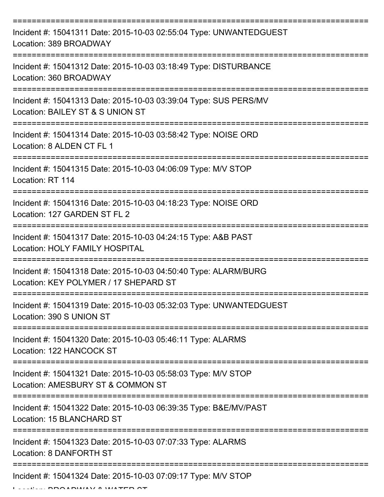| Incident #: 15041311 Date: 2015-10-03 02:55:04 Type: UNWANTEDGUEST<br>Location: 389 BROADWAY             |
|----------------------------------------------------------------------------------------------------------|
| Incident #: 15041312 Date: 2015-10-03 03:18:49 Type: DISTURBANCE<br>Location: 360 BROADWAY               |
| Incident #: 15041313 Date: 2015-10-03 03:39:04 Type: SUS PERS/MV<br>Location: BAILEY ST & S UNION ST     |
| Incident #: 15041314 Date: 2015-10-03 03:58:42 Type: NOISE ORD<br>Location: 8 ALDEN CT FL 1              |
| Incident #: 15041315 Date: 2015-10-03 04:06:09 Type: M/V STOP<br>Location: RT 114                        |
| Incident #: 15041316 Date: 2015-10-03 04:18:23 Type: NOISE ORD<br>Location: 127 GARDEN ST FL 2           |
| Incident #: 15041317 Date: 2015-10-03 04:24:15 Type: A&B PAST<br>Location: HOLY FAMILY HOSPITAL          |
| Incident #: 15041318 Date: 2015-10-03 04:50:40 Type: ALARM/BURG<br>Location: KEY POLYMER / 17 SHEPARD ST |
| Incident #: 15041319 Date: 2015-10-03 05:32:03 Type: UNWANTEDGUEST<br>Location: 390 S UNION ST           |
| Incident #: 15041320 Date: 2015-10-03 05:46:11 Type: ALARMS<br>Location: 122 HANCOCK ST                  |
| Incident #: 15041321 Date: 2015-10-03 05:58:03 Type: M/V STOP<br>Location: AMESBURY ST & COMMON ST       |
| Incident #: 15041322 Date: 2015-10-03 06:39:35 Type: B&E/MV/PAST<br>Location: 15 BLANCHARD ST            |
| Incident #: 15041323 Date: 2015-10-03 07:07:33 Type: ALARMS<br>Location: 8 DANFORTH ST                   |
| Incident #: 15041324 Date: 2015-10-03 07:09:17 Type: M/V STOP                                            |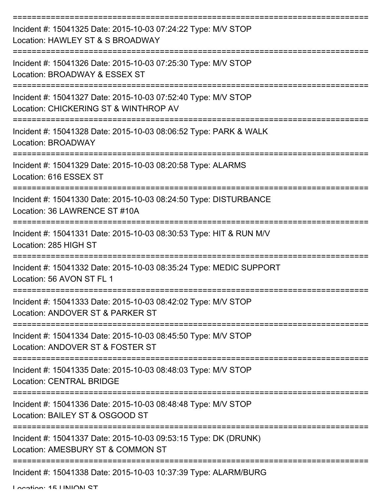| Incident #: 15041325 Date: 2015-10-03 07:24:22 Type: M/V STOP<br>Location: HAWLEY ST & S BROADWAY      |
|--------------------------------------------------------------------------------------------------------|
| Incident #: 15041326 Date: 2015-10-03 07:25:30 Type: M/V STOP<br>Location: BROADWAY & ESSEX ST         |
| Incident #: 15041327 Date: 2015-10-03 07:52:40 Type: M/V STOP<br>Location: CHICKERING ST & WINTHROP AV |
| Incident #: 15041328 Date: 2015-10-03 08:06:52 Type: PARK & WALK<br>Location: BROADWAY                 |
| Incident #: 15041329 Date: 2015-10-03 08:20:58 Type: ALARMS<br>Location: 616 ESSEX ST                  |
| Incident #: 15041330 Date: 2015-10-03 08:24:50 Type: DISTURBANCE<br>Location: 36 LAWRENCE ST #10A      |
| Incident #: 15041331 Date: 2015-10-03 08:30:53 Type: HIT & RUN M/V<br>Location: 285 HIGH ST            |
| Incident #: 15041332 Date: 2015-10-03 08:35:24 Type: MEDIC SUPPORT<br>Location: 56 AVON ST FL 1        |
| Incident #: 15041333 Date: 2015-10-03 08:42:02 Type: M/V STOP<br>Location: ANDOVER ST & PARKER ST      |
| Incident #: 15041334 Date: 2015-10-03 08:45:50 Type: M/V STOP<br>Location: ANDOVER ST & FOSTER ST      |
| Incident #: 15041335 Date: 2015-10-03 08:48:03 Type: M/V STOP<br><b>Location: CENTRAL BRIDGE</b>       |
| Incident #: 15041336 Date: 2015-10-03 08:48:48 Type: M/V STOP<br>Location: BAILEY ST & OSGOOD ST       |
| Incident #: 15041337 Date: 2015-10-03 09:53:15 Type: DK (DRUNK)<br>Location: AMESBURY ST & COMMON ST   |
| Incident #: 15041338 Date: 2015-10-03 10:37:39 Type: ALARM/BURG                                        |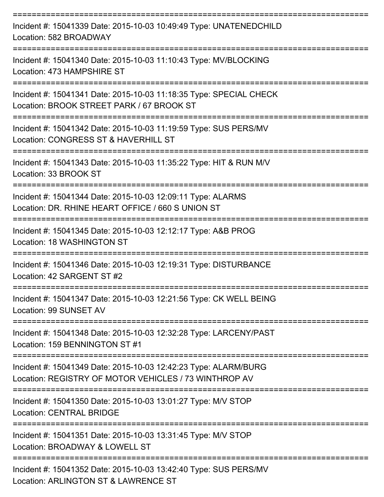| Incident #: 15041339 Date: 2015-10-03 10:49:49 Type: UNATENEDCHILD<br>Location: 582 BROADWAY                               |
|----------------------------------------------------------------------------------------------------------------------------|
| Incident #: 15041340 Date: 2015-10-03 11:10:43 Type: MV/BLOCKING<br>Location: 473 HAMPSHIRE ST                             |
| Incident #: 15041341 Date: 2015-10-03 11:18:35 Type: SPECIAL CHECK<br>Location: BROOK STREET PARK / 67 BROOK ST            |
| Incident #: 15041342 Date: 2015-10-03 11:19:59 Type: SUS PERS/MV<br>Location: CONGRESS ST & HAVERHILL ST                   |
| Incident #: 15041343 Date: 2015-10-03 11:35:22 Type: HIT & RUN M/V<br>Location: 33 BROOK ST                                |
| Incident #: 15041344 Date: 2015-10-03 12:09:11 Type: ALARMS<br>Location: DR. RHINE HEART OFFICE / 660 S UNION ST           |
| Incident #: 15041345 Date: 2015-10-03 12:12:17 Type: A&B PROG<br>Location: 18 WASHINGTON ST                                |
| ==========<br>Incident #: 15041346 Date: 2015-10-03 12:19:31 Type: DISTURBANCE<br>Location: 42 SARGENT ST #2               |
| Incident #: 15041347 Date: 2015-10-03 12:21:56 Type: CK WELL BEING<br>Location: 99 SUNSET AV                               |
| ===================<br>Incident #: 15041348 Date: 2015-10-03 12:32:28 Type: LARCENY/PAST<br>Location: 159 BENNINGTON ST #1 |
| Incident #: 15041349 Date: 2015-10-03 12:42:23 Type: ALARM/BURG<br>Location: REGISTRY OF MOTOR VEHICLES / 73 WINTHROP AV   |
| Incident #: 15041350 Date: 2015-10-03 13:01:27 Type: M/V STOP<br><b>Location: CENTRAL BRIDGE</b>                           |
| Incident #: 15041351 Date: 2015-10-03 13:31:45 Type: M/V STOP<br>Location: BROADWAY & LOWELL ST                            |
| Incident #: 15041352 Date: 2015-10-03 13:42:40 Type: SUS PERS/MV<br>Location: ARLINGTON ST & LAWRENCE ST                   |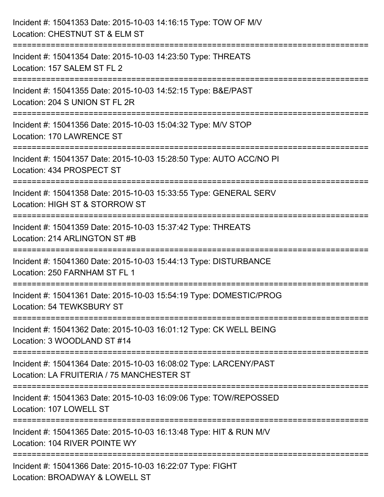| Incident #: 15041353 Date: 2015-10-03 14:16:15 Type: TOW OF M/V<br>Location: CHESTNUT ST & ELM ST                                        |
|------------------------------------------------------------------------------------------------------------------------------------------|
| Incident #: 15041354 Date: 2015-10-03 14:23:50 Type: THREATS<br>Location: 157 SALEM ST FL 2                                              |
| Incident #: 15041355 Date: 2015-10-03 14:52:15 Type: B&E/PAST<br>Location: 204 S UNION ST FL 2R<br>===================================== |
| Incident #: 15041356 Date: 2015-10-03 15:04:32 Type: M/V STOP<br>Location: 170 LAWRENCE ST                                               |
| Incident #: 15041357 Date: 2015-10-03 15:28:50 Type: AUTO ACC/NO PI<br>Location: 434 PROSPECT ST                                         |
| Incident #: 15041358 Date: 2015-10-03 15:33:55 Type: GENERAL SERV<br>Location: HIGH ST & STORROW ST                                      |
| ========================<br>Incident #: 15041359 Date: 2015-10-03 15:37:42 Type: THREATS<br>Location: 214 ARLINGTON ST #B                |
| Incident #: 15041360 Date: 2015-10-03 15:44:13 Type: DISTURBANCE<br>Location: 250 FARNHAM ST FL 1                                        |
| Incident #: 15041361 Date: 2015-10-03 15:54:19 Type: DOMESTIC/PROG<br>Location: 54 TEWKSBURY ST                                          |
| Incident #: 15041362 Date: 2015-10-03 16:01:12 Type: CK WELL BEING<br>Location: 3 WOODLAND ST #14                                        |
| Incident #: 15041364 Date: 2015-10-03 16:08:02 Type: LARCENY/PAST<br>Location: LA FRUITERIA / 75 MANCHESTER ST                           |
| Incident #: 15041363 Date: 2015-10-03 16:09:06 Type: TOW/REPOSSED<br>Location: 107 LOWELL ST                                             |
| Incident #: 15041365 Date: 2015-10-03 16:13:48 Type: HIT & RUN M/V<br>Location: 104 RIVER POINTE WY                                      |
| Incident #: 15041366 Date: 2015-10-03 16:22:07 Type: FIGHT<br>Location: BROADWAY & LOWELL ST                                             |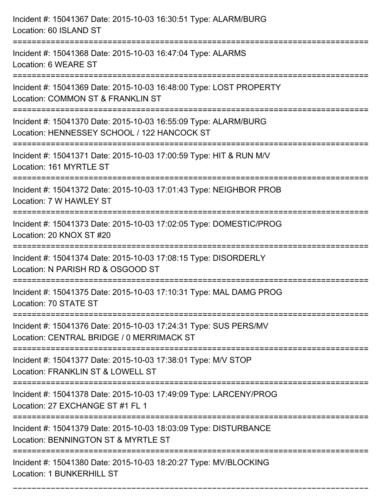| Incident #: 15041367 Date: 2015-10-03 16:30:51 Type: ALARM/BURG<br>Location: 60 ISLAND ST                                                            |
|------------------------------------------------------------------------------------------------------------------------------------------------------|
| :==================================<br>Incident #: 15041368 Date: 2015-10-03 16:47:04 Type: ALARMS<br>Location: 6 WEARE ST                           |
| Incident #: 15041369 Date: 2015-10-03 16:48:00 Type: LOST PROPERTY<br>Location: COMMON ST & FRANKLIN ST                                              |
| Incident #: 15041370 Date: 2015-10-03 16:55:09 Type: ALARM/BURG<br>Location: HENNESSEY SCHOOL / 122 HANCOCK ST<br>:================================= |
| Incident #: 15041371 Date: 2015-10-03 17:00:59 Type: HIT & RUN M/V<br>Location: 161 MYRTLE ST                                                        |
| Incident #: 15041372 Date: 2015-10-03 17:01:43 Type: NEIGHBOR PROB<br>Location: 7 W HAWLEY ST                                                        |
| Incident #: 15041373 Date: 2015-10-03 17:02:05 Type: DOMESTIC/PROG<br>Location: 20 KNOX ST #20                                                       |
| Incident #: 15041374 Date: 2015-10-03 17:08:15 Type: DISORDERLY<br>Location: N PARISH RD & OSGOOD ST                                                 |
| Incident #: 15041375 Date: 2015-10-03 17:10:31 Type: MAL DAMG PROG<br>Location: 70 STATE ST                                                          |
| Incident #: 15041376 Date: 2015-10-03 17:24:31 Type: SUS PERS/MV<br>Location: CENTRAL BRIDGE / 0 MERRIMACK ST                                        |
| Incident #: 15041377 Date: 2015-10-03 17:38:01 Type: M/V STOP<br>Location: FRANKLIN ST & LOWELL ST                                                   |
| Incident #: 15041378 Date: 2015-10-03 17:49:09 Type: LARCENY/PROG<br>Location: 27 EXCHANGE ST #1 FL 1                                                |
| Incident #: 15041379 Date: 2015-10-03 18:03:09 Type: DISTURBANCE<br>Location: BENNINGTON ST & MYRTLE ST                                              |
| ---------------------<br>Incident #: 15041380 Date: 2015-10-03 18:20:27 Type: MV/BLOCKING<br>Location: 1 BUNKERHILL ST                               |

===========================================================================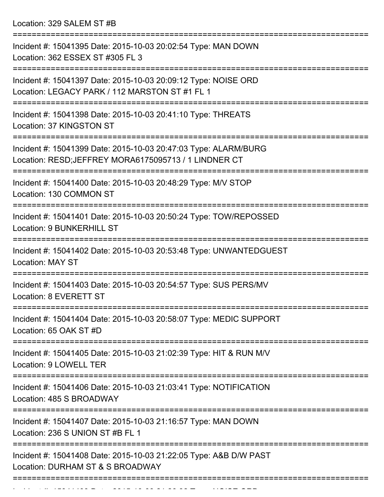Location: 329 SALEM ST #B

| Incident #: 15041395 Date: 2015-10-03 20:02:54 Type: MAN DOWN<br>Location: 362 ESSEX ST #305 FL 3                        |
|--------------------------------------------------------------------------------------------------------------------------|
| Incident #: 15041397 Date: 2015-10-03 20:09:12 Type: NOISE ORD<br>Location: LEGACY PARK / 112 MARSTON ST #1 FL 1         |
| Incident #: 15041398 Date: 2015-10-03 20:41:10 Type: THREATS<br>Location: 37 KINGSTON ST                                 |
| Incident #: 15041399 Date: 2015-10-03 20:47:03 Type: ALARM/BURG<br>Location: RESD; JEFFREY MORA6175095713 / 1 LINDNER CT |
| Incident #: 15041400 Date: 2015-10-03 20:48:29 Type: M/V STOP<br>Location: 130 COMMON ST                                 |
| Incident #: 15041401 Date: 2015-10-03 20:50:24 Type: TOW/REPOSSED<br><b>Location: 9 BUNKERHILL ST</b>                    |
| Incident #: 15041402 Date: 2015-10-03 20:53:48 Type: UNWANTEDGUEST<br><b>Location: MAY ST</b>                            |
| Incident #: 15041403 Date: 2015-10-03 20:54:57 Type: SUS PERS/MV<br>Location: 8 EVERETT ST                               |
| Incident #: 15041404 Date: 2015-10-03 20:58:07 Type: MEDIC SUPPORT<br>Location: 65 OAK ST #D                             |
| Incident #: 15041405 Date: 2015-10-03 21:02:39 Type: HIT & RUN M/V<br>Location: 9 LOWELL TER                             |
| Incident #: 15041406 Date: 2015-10-03 21:03:41 Type: NOTIFICATION<br>Location: 485 S BROADWAY                            |
| Incident #: 15041407 Date: 2015-10-03 21:16:57 Type: MAN DOWN<br>Location: 236 S UNION ST #B FL 1                        |
| Incident #: 15041408 Date: 2015-10-03 21:22:05 Type: A&B D/W PAST<br>Location: DURHAM ST & S BROADWAY                    |
|                                                                                                                          |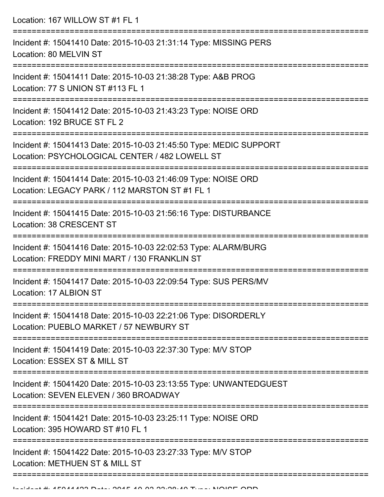Location: 167 WILLOW ST #1 FL 1 =========================================================================== Incident #: 15041410 Date: 2015-10-03 21:31:14 Type: MISSING PERS Location: 80 MELVIN ST =========================================================================== Incident #: 15041411 Date: 2015-10-03 21:38:28 Type: A&B PROG Location: 77 S UNION ST #113 FL 1 =========================================================================== Incident #: 15041412 Date: 2015-10-03 21:43:23 Type: NOISE ORD Location: 192 BRUCE ST FL 2 =========================================================================== Incident #: 15041413 Date: 2015-10-03 21:45:50 Type: MEDIC SUPPORT Location: PSYCHOLOGICAL CENTER / 482 LOWELL ST =========================================================================== Incident #: 15041414 Date: 2015-10-03 21:46:09 Type: NOISE ORD Location: LEGACY PARK / 112 MARSTON ST #1 FL 1 =========================================================================== Incident #: 15041415 Date: 2015-10-03 21:56:16 Type: DISTURBANCE Location: 38 CRESCENT ST =========================================================================== Incident #: 15041416 Date: 2015-10-03 22:02:53 Type: ALARM/BURG Location: FREDDY MINI MART / 130 FRANKLIN ST =========================================================================== Incident #: 15041417 Date: 2015-10-03 22:09:54 Type: SUS PERS/MV Location: 17 ALBION ST =========================================================================== Incident #: 15041418 Date: 2015-10-03 22:21:06 Type: DISORDERLY Location: PUEBLO MARKET / 57 NEWBURY ST =========================================================================== Incident #: 15041419 Date: 2015-10-03 22:37:30 Type: M/V STOP Location: ESSEX ST & MILL ST =========================================================================== Incident #: 15041420 Date: 2015-10-03 23:13:55 Type: UNWANTEDGUEST Location: SEVEN ELEVEN / 360 BROADWAY =========================================================================== Incident #: 15041421 Date: 2015-10-03 23:25:11 Type: NOISE ORD Location: 395 HOWARD ST #10 FL 1 =========================================================================== Incident #: 15041422 Date: 2015-10-03 23:27:33 Type: M/V STOP Location: METHUEN ST & MILL ST ===========================================================================